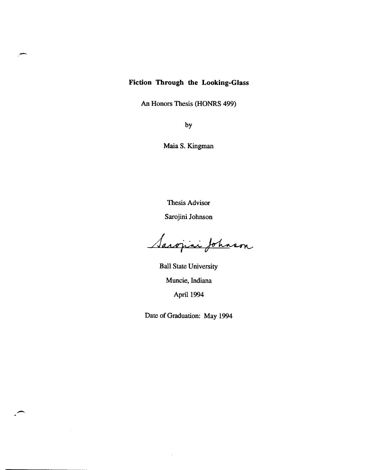#### **Fiction Through the Looking-Glass**

-

An Honors Thesis (HONRS 499)

by

Maia S. Kingman

Thesis Advisor

Sarojini Johnson

Sarojini Johnson

Ball State University Muncie, Indiana April 1994

Date of Graduation: May 1994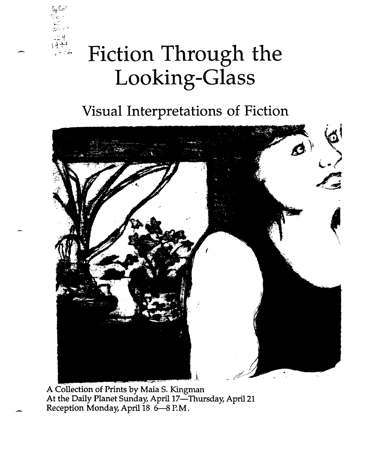

-

# Fiction Through the Looking-Glass

### **Visual Interpretations of Fiction**



A Collection of Prints by Maia S. Kingman At the Daily Planet Sunday, April 17-Thursday, April 21 Reception Monday, April 18  $6-8$  P.M.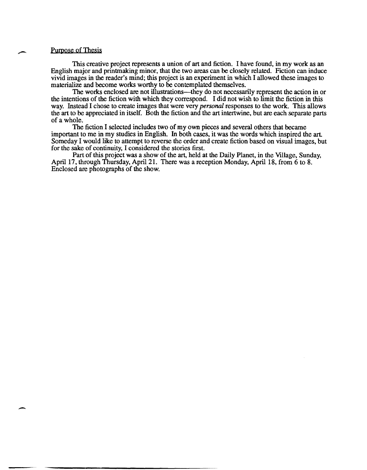#### Purpose of Thesis

 $\overline{\phantom{a}}$ 

This creative project represents a union of art and fiction. I have found, in my work as an English major and printmaking minor, that the two areas can be closely related. Fiction can induce vivid images in the reader's mind; this project is an experiment in which I allowed these images to materialize and become works worthy to be contemplated themselves.

The works enclosed are not illustrations—they do not necessarily represent the action in or the intentions of the fiction with which they correspond. I did not wish to limit the fiction in this way. Instead I chose to create images that were very *personal* responses to the work. This allows the art to be appreciated in itself. Both the fiction and the art intertwine, but are each separate parts ofa whole.

The fiction I selected includes two of my own pieces and several others that became important to me in my studies in English. In both cases, it was the words which inspired the art. Someday I would like to attempt to reverse the order and create fiction based on visual images, but for the sake of continuity, I considered the stories first.

Part of this project was a show of the art, held at the Daily Planet, in the Village, Sunday, April 17, through Thursday, April 21. There was a reception Monday, April 18, from 6 to 8. Enclosed are photographs of the show.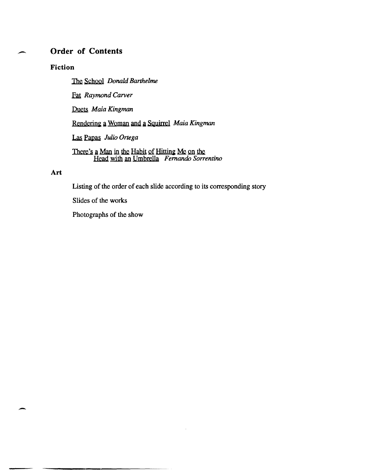### - **Order of Contents**

#### **Fiction**

~ School *Donald Barthelme* 

Eat *Raymond Carver* 

~ *Maia Kingman* 

Rendering a Woman and a Squirrel *Maia Kingman* 

Las Papas Julio Ortega

There's a Man in the Habit of Hitting Me on the **Head with an Umbrella Fernando Sorrentino** 

#### **Art**

-

Listing of the order of each slide according to its corresponding story

Slides of the works

Photographs of the show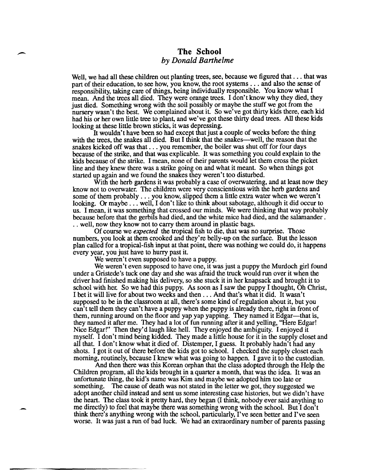#### **The School**  *by Donald Barthelme*

Well, we had all these children out planting trees, see, because we figured that . . . that was part of their education, to see how, you know, the root systems . . . and also the sense of responsibility, taking care of things, being individually responsible. You know what I mean. And the trees all died. They were orange trees. I don't know why they died, they just died. Something wrong with the soil possibly or maybe the stuff we got from the nursery wasn't the best. We complained about it. So we've got thirty kids there, each kid had his or her own little tree to plant, and we've got these thirty dead trees. All these kids looking at these little brown sticks, it was depressing.

It wouldn't have been so had except that just a couple of weeks before the thing with the trees, the snakes all died. But I think that the snakes--well, the reason that the snakes kicked off was that ... you remember, the boiler was shut off for four days because of the strike, and that was explicable. It was something you could explain to the kids because of the strike. I mean, none of their parents would let them cross the picket line and they knew there was a strike going on and what it meant. So when things got started up again and we found the snakes they weren't too disturbed.

With the herb gardens it was probably a case of overwatering, and at least now they know not to overwater. The children were very conscientious with the herb gardens and some of them probably ... you know, slipped them a little extra water when we weren't looking. Or maybe ... well, I don't like to think about sabotage, although it did occur to us. I mean, it was something that crossed our minds. We were thinking that way probably because before that the gerbils had died, and the white mice had died, and the salamander . . . well, now they know not to carry them around in plastic bags.

Of course we *expected* the tropical fish to die, that was no surprise. Those numbers, you look at them crooked and they're belly-up on the surface. But the lesson plan called for a tropical-fish input at that point, there was nothing we could do, it happens every year, you just have to hurry past it.

We weren't even supposed to have a puppy.

We weren't even supposed to have one, it was just a puppy the Murdoch girl found under a Gristede's tuck one day and she was afraid the truck would run over it when the driver had finished making his delivery, so she stuck it in her knapsack and brought it to school with her. So we had this puppy. *As* soon as I saw the puppy I thought, Oh Christ, I bet it will live for about two weeks and then ... And that's what it did. It wasn't supposed to be in the classroom at all, there's some kind of regulation about it, but you can't tell them they can't have a puppy when the puppy is already there, right in front of them, running around on the floor and yap yap yapping. They named it Edgar—that is, they named it after me. They had a lot of fun running after it and yelling, "Here Edgar! Nice Edgar!" Then they'd laugh like hell. They enjoyed the ambiguity. I enjoyed it myself. I don't mind being kidded. They made a little house for it in the supply closet and all that. I don't know what it died of. Distemper, I guess. It probably hadn't had any shots. I got it out of there before the kids got to school. I checked the supply closet each morning, routinely, because I knew what was going to happen. I gave it to the custodian.

And then there was this Korean orphan that the class adopted through the Help the Children program, all the kids brought in a quarter a month, that was the idea. It was an unfortunate thing, the kid's name was Kim and maybe we adopted him too late or something. The cause of death was not stated in the letter we got, they suggested we adopt another child instead and sent us some interesting case histories, but we didn't have the heart. The class took it pretty hard, they began (I think, nobody ever said anything to me directly) to feel that maybe there was something wrong with the school. But I don't think there's anything wrong with the school, particularly, I've seen better and I've seen worse. It was just a run of bad luck. We had an extraordinary number of parents passing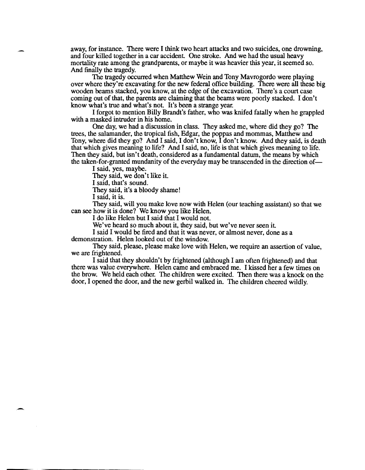away, for instance. There were I think two heart attacks and two suicides, one drowning, and four killed together in a car accident. One stroke. And we had the usual heavy mortality rate among the grandparents, or maybe it was heavier this year, it seemed *so.*  And finally the tragedy.

The tragedy occurred when Matthew Wein and Tony Mavrogordo were playing over where they're excavating for the new federal office building. There were all these big wooden beams stacked, you know, at the edge of the excavation. There's a court case coming out of that, the parents are claiming that the beams were poorly stacked. I don't know what's true and what's not. It's been a strange year.

I forgot to mention Billy Brandt's father, who was knifed fatally when he grappled with a masked intruder in his home.

One day, we had a discussion in class. They asked me, where did they go? The trees, the salamander, the tropical fish, Edgar, the poppas and mommas, Matthew and Tony, where did they go? And I said, I don't know, I don't know. And they said, is death that which gives meaning to life? And I said, no, life is that which gives meaning to life. Then they said, but isn't death, considered as a fundamental datum, the means by which the taken-for-granted mundanity of the everyday may be transcended in the direction of-

I said, yes, maybe.

They said, we don't like it.

I said, that's sound.

They said, it's a bloody shame!

I said, it is.

-

They said, will you make love now with Helen (our teaching assistant) so that we can see how it is done? We know you like Helen.

I do like Helen but I said that I would not.

We've heard so much about it, they said, but we've never seen it.

I said I would be fired and that it was never, or almost never, done as a demonstration. Helen looked out of the window.

They said, please, please make love with Helen, we require an assertion of value, we are frightened.

I said that they shouldn't by frightened (although I am often frightened) and that there was value everywhere. Helen came and embraced me. I kissed her a few times on the brow. We held each other. The children were excited. Then there was a knock on the door, I opened the door, and the new gerbil walked in. The children cheered Wildly.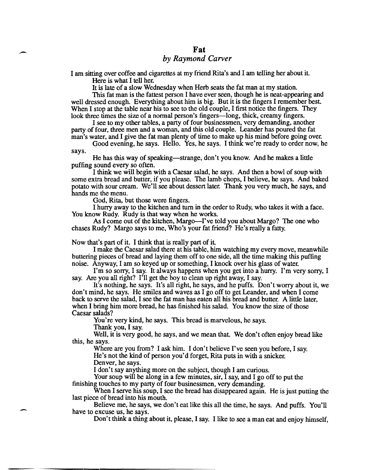#### **Fat**  *by Raymond Carver*

I am sitting over coffee and cigarettes at my friend Rita's and I am telling her about it. Here is what I tell her.

**It** is late of a slow Wednesday when Herb seats the fat man at my station.

This fat man is the fattest person I have ever seen, though he is neat-appearing and well dressed enough. Everything about him is big. But it is the fingers I remember best. When I stop at the table near his to see to the old couple, I first notice the fingers. They look three times the size of a normal person's fingers—long, thick, creamy fingers.

I see to my other tables, a party of four businessmen, very demanding, another party of four, three men and a woman, and this old couple. Leander has poured the fat man's water, and I give the fat man plenty of time to make up his mind before going over.

Good evening, he says. Hello. Yes, he says. I think we're ready to order now, he says.

He has this way of speaking—strange, don't you know. And he makes a little puffing sound every so often.

I think we will begin with a Caesar salad, he says. And then a bowl of soup with some extra bread and butter, if you please. The lamb chops, I believe, he says. And baked potato with sour cream. We'll see about dessert later. Thank you very much, he says, and hands me the menu.

God, Rita, but those were fingers.

.-

-

I hurry away to the kitchen and tum in the order to Rudy, who takes it with a face. You know Rudy. Rudy is that way when he works.

As I come out of the kitchen, Margo-I've told you about Margo? The one who chases Rudy? Margo says to me, Who's your fat friend? He's really a fatty.

Now that's part of it. I think that is really part of it.

I make the Caesar salad there at his table, him watching my every move, meanwhile buttering pieces of bread and laying them off to one side, all the time making this puffing noise. Anyway, I am so keyed up or something, I knock over his glass of water.

I'm so sorry, I say. It always happens when you get into a hurry. I'm very sorry, I say. Are you all right? I'll get the boy to clean up right away, I say.

It's nothing, he says. It's all right, he says, and he puffs. Don't worry about it, we don't mind, he says. He smiles and waves as I go off to get Leander, and when I come back to serve the salad, I see the fat man has eaten all his bread and butter. A little later, when I bring him more bread, he has finished his salad. You know the size of those Caesar salads?

You're very kind, he says. This bread is marvelous, he says. Thank you, I say.

Well, it is very good, he says, and we mean that. We don't often enjoy bread like this, he says.

Where are you from? I ask him. I don't believe I've seen you before, I say. He's not the kind of person you'd forget, Rita puts in with a snicker.

Denver, he says.

I don't say anything more on the subject, though I am curious.

Your soup will be along in a few minutes, sir, I say, and I go off to put the finishing touches to my party of four businessmen, very demanding.

When I serve his soup, I see the bread has disappeared again. He is just putting the last piece of bread into his mouth.

Believe me, he says, we don't eat like this all the time, he says. And puffs. You'll have to excuse us, he says.

Don't think a thing about it, please, I say. I like to see a man eat and enjoy himself,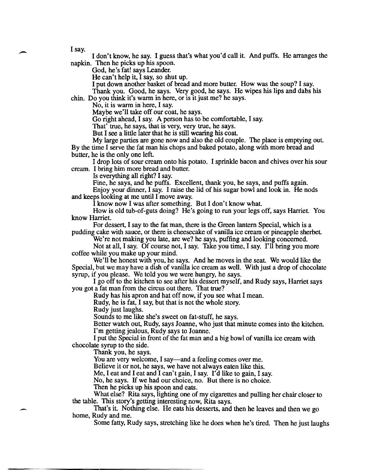I say.

 $\overline{\phantom{a}}$ 

-

I don't know, he say. I guess that's what you'd call it. And puffs. He arranges the napkin. Then he picks up his spoon.

God, he's fat! says Leander.

He can't help it, I say, so shut up.

I put down another basket of bread and more butter. How was the soup? I say.

Thank you. Good, he says. Very good, he says. He wipes his lips and dabs his chin. Do you think it's warm in here, or is it just me? he says.

No, it is warm in here, I say.

Maybe we'll take off our coat, he says.

Go right ahead, I say. A person has to be comfortable, I say.

That' true, he says, that is very, very true, he says.

But I see a little later that he is still wearing his coat.

My large parties are gone now and also the old couple. The place is emptying out. By the time I serve the fat man his chops and baked potato, along with more bread and butter, he is the only one left.

I drop lots of sour cream onto his potato. I sprinkle bacon and chives over his sour cream. I bring him more bread and butter.

Is everything all right? I say.

Fine, he says, and he puffs. Excellent, thank you, he says, and puffs again.

Enjoy your dinner, I say. I raise the lid of his sugar bowl and look in. He nods and keeps looking at me until I move away.

I know now I was after something. But I don't know what.

How is old tub-of-guts doing? He's going to run your legs off, says Harriet. You know Harriet.

For dessert, I say to the fat man, there is the Green lantern Special, which is a pudding cake with sauce, or there is cheesecake of vanilla ice cream or pineapple sherbet

We're not making you late, are we? he says, puffing and looking concerned.

Not at all, I say. Of course not, I say. Take you time, I say. I'll bring you more coffee while you make up your mind.

We'll be honest with you, he says. And he moves in the seat. We would like the Special, but we may have a dish of vanilla ice cream as well. With just a drop of chocolate syrup, if you please. We told you we were hungry, he says.

I go off to the kitchen to see after his dessert myself, and Rudy says, Harriet says you got a fat man from the circus out there. That true?

Rudy has his apron and hat off now, if you see what I mean.

Rudy, he is fat, I say, but that is not the whole story.

Rudy just laughs.

Sounds to me like she's sweet on fat-stuff, he says.

Better watch out, Rudy, says Joanne, who just that minute comes into the kitchen. I'm getting jealous, Rudy says to Joanne.

I put the Special in front of the fat man and a big bowl of vanilla ice cream with chocolate syrup to the side.

Thank you, he says.

You are very welcome, I say—and a feeling comes over me.

Believe it or not, he says, we have not always eaten like this.

Me, I eat and I eat and I can't gain, I say. I'd like to gain, I say.

No, he says. If we had our choice, no. But there is no choice.

Then he picks up his spoon and eats.

What else? Rita says, lighting one of my cigarettes and pulling her chair closer to the table. This story's getting interesting now, Rita says.

That's it. Nothing else. He eats his desserts, and then he leaves and then we go home, Rudy and me.

Some fatty, Rudy says, stretching like he does when he's tired. Then he just laughs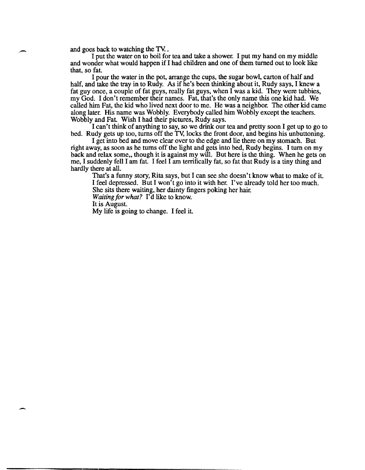and goes back to watching the Tv. .

I put the water on to boil for tea and take a shower. I put my hand on my middle and wonder what would happen if I had children and one of them turned out to look like that, so fat.

I pour the water in the pot, arrange the cups, the sugar bowl, carton of half and half, and take the tray in to Rudy. As if he's been thinking about it, Rudy says, I knew a fat guy once, a couple of fat guys, really fat guys, when I was a kid. They were tubbies, my God. I don't remember their names. Fat, that's the only name this one kid had. We called him Fat, the kid who lived next door to me. He was a neighbor. The other kid came along later. His name was Wobbly. Everybody called him Wobbly except the teachers. Wobbly and Fat. Wish I had their pictures, Rudy says.

I can't think of anything to say, so we drink our tea and pretty soon I get up to go to bed. Rudy gets up too, turns off the Tv, locks the front door, and begins his unbuttoning.

I get into bed and move clear over to the edge and lie there on my stomach. But right away, as soon as he turns off the light and gets into bed, Rudy begins. I tum on my back and relax some,, though it is against my will. But here is the thing. When he gets on me, I suddenly fell I am fat. I feel I am terrifically fat, so fat that Rudy is a tiny thing and hardly there at all.

That's a funny story, Rita says, but I can see she doesn't know what to make of it. I feel depressed. But I won't go into it with her. I've already told her too much. She sits there waiting, her dainty fingers poking her hair.

*Waitingforwhat?* I'd like to know.

It is August.

-

My life is going to change. I feel it.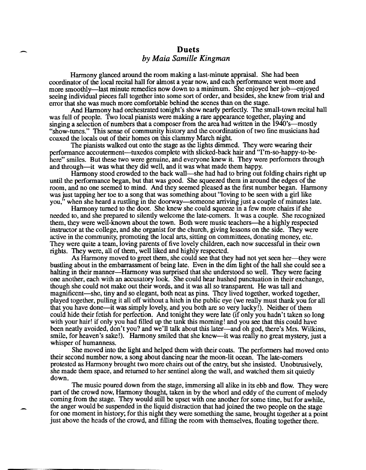## -- **Duets**  *by Maia Samille Kingman*

Harmony glanced around the room making a last-minute appraisal. She had been coordinator of the local recital hall for almost a year now, and each performance went more and more smoothly—last minute remedies now down to a minimum. She enjoyed her job—enjoyed seeing individual pieces fall together into some sort of order, and besides, she knew from trial and error that she was much more comfortable behind the scenes than on the stage.

And Harmony had orchestrated tonight's show nearly perfectly. The small-town recital hall was full of people. Two local pianists were making a rare appearance together, playing and singing a selection of numbers that a composer from the area had written in the 1940's—mostly "show-tunes." This sense of community history and the coordination of two fine musicians had coaxed the locals out of their homes on this clammy March night

The pianists walked out onto the stage as the lights dimmed. They were wearing their performance accouterment-tuxedos complete with slicked-back hair and "I'm-so-happy-to-behere" smiles. But these two were genuine, and everyone knew it. They were performers through and through-it was what they did well, and it was what made them happy.

Harmony stood crowded to the back wall—she had had to bring out folding chairs right up until the performance began, but that was good. She squeezed them in around the edges of the room, and no one seemed to mind. And they seemed pleased as the first number began. Harmony was just tapping her toe to a song that was something about "loving to be seen with a girl like you," when she heard a rustling in the doorway-someone arriving just a couple of minutes late.

Harmony turned to the door. She knew she could squeeze in a few more chairs if she needed to, and she prepared to silently welcome the late-comers. It was a couple. She recognized them, they were well-known about the town. Both were music teachers—he a highly respected instructor at the college, and she organist for the church, giving lessons on the side. They were active in the community, promoting the local arts, sitting on committees, donating money, etc. They were quite a team, loving parents of five lovely children, each now successful in their own rights. They were, all of them, well liked and highly respected.

As Harmony moved to greet them, she could see that they had not yet seen her—they were bustling about in the embarrassment of being late. Even in the dim light of the hall she could see a halting in their manner—Harmony was surprised that she understood so well. They were facing one another, each with an accusatory look. She could hear hushed punctuation in their exchange, though she could not make out their words, and it was all so transparent. He was tall and magnificent—she, tiny and so elegant, both neat as pins. They lived together, worked together, played together, pulling it all off without a hitch in the public eye (we really must thank you for all that you have done-it was simply lovely, and you both are so very lucky!). Neither of them could hide their fetish for perfection. And tonight they were late (if only you hadn't taken so long with your hair! if only you had filled up the tank this morning! and you see that this could have been neatly avoided, don't you? and we'll talk about this later—and oh god, there's Mrs. Wilkins, smile, for heaven's sake!). Harmony smiled that she knew-it was really no great mystery, just a whisper of humanness.

She moved into the light and helped them with their coats. The performers had moved onto their second number now, a song about dancing near the moon-lit ocean. The late-comers protested as Harmony brought two more chairs out of the entry, but she insisted. Unobtrusively, she made them space, and returned to her sentinel along the wall, and watched them sit quietly down.

The music poured down from the stage, immersing all alike in its ebb and flow. They were part of the crowd now, Harmony thought, taken in by the whorl and eddy of the current of melody coming from the stage. They would still be upset with one another for some time, but for awhile, the anger would be suspended in the liquid distraction that had joined the two people on the stage for one moment in history; for this night they were something the same, brought together at a point just above the heads of the crowd, and filling the room with themselves, floating together there.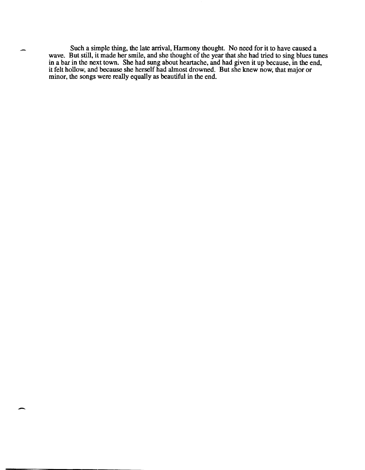Such a simple thing, the late arrival, Harmony thought. No need for it to have caused a wave. But still, it made her smile, and she thought of the year that she had tried to sing blues tunes in a bar in the next town. She had sung about heartache, and had given it up because, in the end, it felt hollow, and because she herself had almost drowned. But she knew now, that major or minor, the songs were really equally as beautiful in the end.

-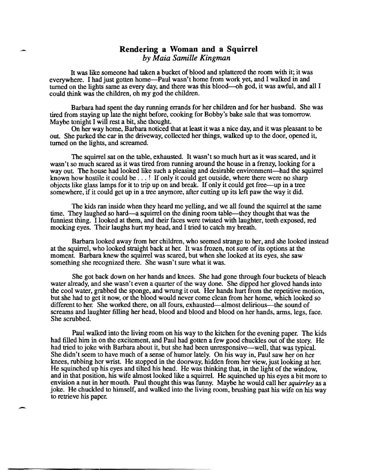#### **Rendering a Woman and a Squirrel**  *by Maia Samille Kingman*

It was like someone had taken a bucket of blood and splattered the room with it; it was everywhere. I had just gotten home-Paul wasn't home from work yet, and I walked in and turned on the lights same as every day, and there was this blood-oh god, it was awful, and all I could think was the children, oh my god the children.

Barbara had spent the day running errands for her children and for her husband. She was tired from staying up late the night before, cooking for Bobby's bake sale that was tomorrow. Maybe tonight I will rest a bit, she thought.

On her way home, Barbara noticed that at least it was a nice day, and it was pleasant to be out. She parked the car in the driveway, collected her things, walked up to the door, opened it, turned on the lights, and screamed.

The squirrel sat on the table, exhausted. It wasn't so much hurt as it was scared, and it wasn't so much scared as it was tired from running around the house in a frenzy, looking for a way out. The house had looked like such a pleasing and desirable environment—had the squirrel known how hostile it could be ... ! If only it could get outside, where there were no sharp objects like glass lamps for it to trip up on and break. If only it could get free-up in a tree somewhere, if it could get up in a tree anymore, after cutting up its left paw the way it did.

The kids ran inside when they heard me yelling, and we all found the squirrel at the same time. They laughed so hard—a squirrel on the dining room table—they thought that was the funniest thing. I looked at them, and their faces were twisted with laughter, teeth exposed, red mocking eyes. Their laughs hurt my head, and I tried to catch my breath.

Barbara looked away from her children, who seemed strange to her, and she looked instead at the squirrel, who looked straight back at her. It was frozen, not sure of its options at the moment. Barbara knew the squirrel was scared, but when she looked at its eyes, she saw something she recognized there. She wasn't sure what it was.

She got back down on her hands and knees. She had gone through four buckets of bleach water already, and she wasn't even a quarter of the way done. She dipped her gloved hands into the cool water, grabbed the sponge, and wrung it out Her hands hurt from the repetitive motion, but she had to get it now, or the blood would never come clean from her home, which looked so different to her. She worked there, on all fours, exhausted—almost delirious—the sound of screams and laughter filling her head, blood and blood and blood on her hands, arms, legs, face. She scrubbed.

Paul walked into the living room on his way to the kitchen for the evening paper. The kids had filled him in on the excitement, and Paul had gotten a few good chuckles out of the story. He had tried to joke with Barbara about it, but she had been unresponsive—well, that was typical. She didn't seem to have much of a sense of humor lately. On his way in, Paul saw her on her knees, rubbing her wrist. He stopped in the doorway, hidden from her view, just looking at her. He squinched up his eyes and tilted his head. He was thinking that, in the light of the window, and in that position, his wife almost looked like a squirrel. He squinched up his eyes a bit more to envision a nut in her mouth. Paul thought this was funny. Maybe he would call her *squirrley* as a joke. He chuckled to himself, and walked into the living room, brushing past his wife on his way to retrieve his paper.

. -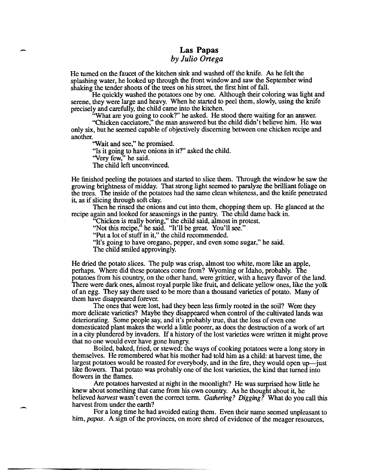#### **Las Papas**  *by Julio Ortega*

He turned on the faucet of the kitchen sink and washed off the knife. As he felt the splashing water, he looked up through the front window and saw the September wind shaking the tender shoots of the trees on his street, the first hint of fall.

He quickly washed the potatoes one by one. Although their coloring was light and serene, they were large and heavy. When he started to peel them, slowly, using the knife precisely and carefully, the child came into the kitchen.

"What are you going to cook?" he asked. He stood there waiting for an answer.

"Chicken cacciatore," the man answered but the child didn't believe him. He was only six, but he seemed capable of objectively discerning between one chicken recipe and another.

'Wait and see," he promised.

"Is it going to have onions in it?" asked the child.

"Very few," he said.

,-

-

The child left unconvinced.

He finished peeling the potatoes and started to slice them. Through the window he saw the growing brightness of midday. That strong light seemed to paralyze the brilliant foliage on the trees. The inside of the potatoes had the same clean whiteness, and the knife penetrated it, as if slicing through soft clay.

Then he rinsed the onions and cut into them, chopping them up. He glanced at the recipe again and looked for seasonings in the pantry. The child dame back in.

"Chicken is really boring," the child said, almost in protest.

"Not this recipe," he said. "It'll be great. You'll see."

"Put a lot of stuff in it," the child recommended.

"It's going to have oregano, pepper, and even some sugar," he said.

The child smiled approvingly.

He dried the potato slices. The pulp was crisp, almost too white, more like an apple, perhaps. Where did these potatoes come from? Wyoming or Idaho, probably. The potatoes from his country, on the other hand, were grittier, with a heavy flavor of the land. There were dark ones, almost royal purple like fruit, and delicate yellow ones, like the yolk of an egg. They say there used to be more than a thousand varieties of potato. Many of them have disappeared forever.

The ones that were lost, had they been less firmly rooted in the soil? Were they more delicate varieties? Maybe they disappeared when control of the cultivated lands was deteriorating. Some people say, and it's probably true, that the loss of even one domesticated plant makes the world a little poorer, as does the destruction of a work of art in a city plundered by invaders. If a history of the lost varieties were written it might prove that no one would ever have gone hungry.

Boiled, baked, fried, or stewed: the ways of cooking potatoes were a long story in themselves. He remembered what his mother had told him as a child: at harvest time, the largest potatoes would be roasted for everybody, and in the fire, they would open up--just like flowers. That potato was probably one of the lost varieties, the kind that turned into flowers in the flames.

Are potatoes harvested at night in the moonlight? He was surprised how little he knew about something that came from his own country. As he thought about it, he believed *harvest* wasn't even the correct term. *Gathering? Digging?* What do you call this harvest from under the earth?

For a long time he had avoided eating them. Even their name seemed unpleasant to him, *papas.* A sign of the provinces, on more shred of evidence of the meager resources,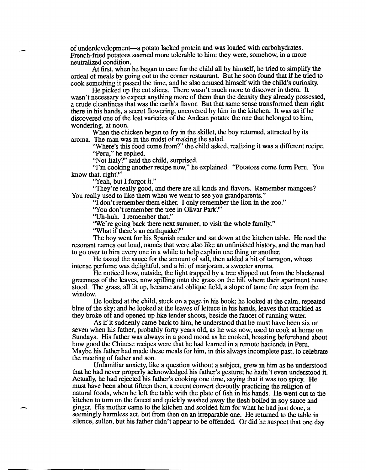of underdevelopment-a potato lacked protein and was loaded with carbohydrates. French-fried potatoes seemed more tolerable to him: they were, somehow, in a more neutralized condition.

At first, when he began to care for the child all by himself, he tried to simplify the ordeal of meals by going out to the comer restaurant. But he soon found that if he tried to cook something it passed the time, and he also amused himself with the child's curiosity.

He picked up the cut slices. There wasn't much more to discover in them. It wasn't necessary to expect anything more of them than the density they already possessed, a crude cleanliness that was the earth's flavor. But that same sense transformed them right there in his hands, a secret flowering, uncovered by him in the kitchen. It was as if he discovered one of the lost varieties of the Andean potato: the one that belonged to him, wondering, at noon.

When the chicken began to fry in the skillet, the boy returned, attracted by its aroma. The man was in the midst of making the salad.

"Where's this food come from?" the child asked, realizing it was a different recipe. "Peru," he replied.

"Not Italy?" said the child, surprised.

"I'm cooking another recipe now," he explained. "Potatoes come form Peru. You know that, right?"

"Yeah, but I forgot it."

"They're really good, and there are all kinds and flavors. Remember mangoes? You really used to like them when we went to see you grandparents."

"I don't remember them either. I only remember the lion in the zoo."

"You don't remember the tree in Olivar Park?"

"Uh-huh. I remember that."

'We're going back there next summer, to visit the whole family."

"What if there's an earthquake?"

The boy went for his Spanish reader and sat down at the kitchen table. He read the resonant names out loud, names that were also like an unfinished history, and the man had to go over to him every one in a while to help explain one thing or another.

He tasted the sauce for the amount of salt, then added a bit of tarragon, whose intense perfume was delightful, and a bit of marjoram, a sweeter aroma

He noticed how, outside, the light trapped by a tree slipped out from the blackened greenness of the leaves, now spilling onto the grass on the hill where their apartment house stood. The grass, all lit up, became and oblique field, a slope of tame fire seen from the window.

He looked at the child, stuck on a page in his book; he looked at the calm, repeated blue of the sky; and he looked at the leaves of lettuce in his hands, leaves that crackled as they broke off and opened up like tender shoots, beside the faucet of running water.

As if it suddenly came back to him, he understood that he must have been six or seven when his father, probably forty years old, as he was now, used to cook at home on Sundays. His father was always in a good mood as he cooked, boasting beforehand about how good the Chinese recipes were that he had learned in a remote hacienda in Peru. Maybe his father had made these meals for him, in this always incomplete past, to celebrate the meeting of father and son.

Unfamiliar anxiety, like a question without a subject, grew in him as he understood that he had never properly acknowledged his father's gesture; he hadn't even understood it. Actually, he had rejected his father's cooking one time, saying that it was too spicy. He must have been about fifteen then, a recent convert devoutly practicing the religion of natural foods, when he left the table with the plate of fish in his hands. He went out to the kitchen to tum on the faucet and quickly washed away the flesh boiled in soy sauce and ginger. His mother came to the kitchen and scolded him for what he had just done, a seemingly harmless act, but from then on an irreparable one. He returned to the table in silence, sullen, but his father didn't appear to be offended. Or did he suspect that one day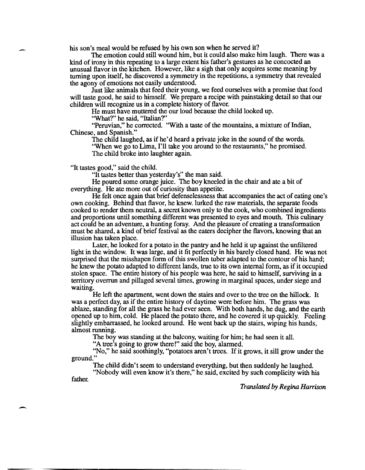his son's meal would be refused by his own son when he served it?

The emotion could still wound him, but it could also make him laugh. There was a kind of irony in this repeating to a large extent his father's gestures as he concocted an unusual flavor in the kitchen. However, like a sigh that only acquires some meaning by turning upon itself, he discovered a symmetry in the repetitions, a symmetry that revealed the agony of emotions not easily understood.

Just like animals that feed their young, we feed ourselves with a promise that food will taste good, he said to himself. We prepare a recipe with painstaking detail so that our children will recognize us in a complete history of flavor.

He must have muttered the our loud because the child looked up.

"What?" he said, "Italian?"

"Peruvian," he corrected. "With a taste of the mountains, a mixture of Indian, Chinese, and Spanish."

The child laughed, as if he'd heard a private joke in the sound of the words. "When we go to Lima, I'll take you around to the restaurants," he promised. The child broke into laughter again.

"It tastes good," said the child.

-

-

"It tastes better than yesterday's" the man said.

He poured some orange juice. The boy kneeled in the chair and ate a bit of everything. He ate more out of curiosity than appetite.

He felt once again that brief defenselessness that accompanies the act of eating one's own cooking. Behind that flavor, he knew. lurked the raw materials, the separate foods cooked to render them neutral, a secret known only to the cook, who combined ingredients and proportions until something different was presented to eyes and mouth. This culinary act could be an adventure, a hunting foray. And the pleasure of creating a transformation must be shared, a kind of brief festival as the eaters decipher the flavors, knowing that an illusion has taken place.

Later, he looked for a potato in the pantry and he held it up against the unfiltered light in the window. It was large, and it fit perfectly in his barely closed hand. He was not surprised that the misshapen form of this swollen tuber adapted to the contour of his hand; he knew the potato adapted to different lands, true to its own internal form, as if it occupied stolen space. The entire history of his people was here, he said to himself, surviving in a territory overrun and pillaged several times, growing in marginal spaces, under siege and waiting.

He left the apartment, went down the stairs and over to the tree on the hillock. It was a perfect day, as if the entire history of daytime were before him. The grass was ablaze, standing for all the grass he had ever seen. With both hands, he dug, and the earth opened up to him, cold. He placed the potato there, and he covered it up quickly. Feeling slightly embarrassed, he looked around. He went back up the stairs, wiping his hands, almost running.

The boy was standing at the balcony, waiting for him; he had seen it all.

"A tree's going to grow there!" said the boy, alarmed.

"No," he said soothingly, "potatoes aren't trees. If it grows, it sill grow under the ground."

The child didn't seem to understand everything, but then suddenly he laughed.

"Nobody will even know it's there," he said, excited by such complicity with his father.

*Translated by Regina Harrison*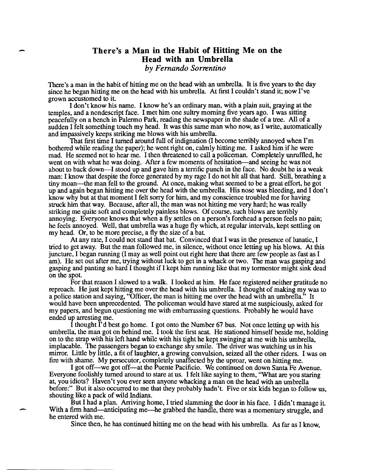#### **There's a Man in the Habit of Hitting Me on the Head with an Umbrella**

-

-

*by Fernando Sorrentino* 

There's a man in the habit of hitting me on the head with an umbrella. It is five years to the day since he began hitting me on the head with his umbrella. At first I couldn't stand it; now I've grown accustomed to it.

I don't know his name. I know he's an ordinary man, with a plain suit, graying at the temples, and a nondescript face. I met him one sultry morning five years ago. I was sitting peacefully on a bench in Palermo Park, reading the newspaper in the shade of a tree. All of a sudden I felt something touch my head. It was this same man who now, as I write, automatically and impassively keeps striking me blows with his umbrella.

That first time I turned around full of indignation (I become terribly annoyed when I'm bothered while reading the paper); he went right on, calmly hitting me. I asked him if he were mad. He seemed not to hear me. I then threatened to call a policeman. Completely unruffled, he went on with what he was doing. After a few moments of hesitation—and seeing he was not about to back down-I stood up and gave him a terrific punch in the face. No doubt he is a weak man: I know that despite the force generated by my rage I do not hit all that hard. Still, breathing a tiny moan-the man fell to the ground. At once, making what seemed to be a great effort, he got up and again began hitting me over the head with the umbrella. His nose was bleeding, and I don't know why but at that moment I felt sorry for him, and my conscience troubled me for having struck him that way. Because, after all, the man was not hitting me very hard; he was really striking me quite soft and completely painless blows. Of course, such blows are terribly annoying. Everyone knows that when a fly settles on a person's forehead a person feels no pain; he feels annoyed. Well, that umbrella was a huge fly which, at regular intervals, kept settling on my head. Or, to be more precise, a fly the size of a bat

At any rate, I could not stand that bat. Convinced that I was in the presence of lunatic, I tried to get away. But the man followed me, in silence, without once letting up his blows. At this juncture, I began running (I may as well point out right here that there are few people as fast as I am). He set out after me, trying without luck to get in a whack or two. The man was gasping and gasping and panting so hard I thought if I kept him running like that my tormentor might sink dead on the spot.

For that reason I slowed to a walk. I looked at him. He face registered neither gratitude no reproach. He just kept hitting me over the head with his umbrella. I thought of making my was to a police station and saying, "Officer, the man is hitting me over the head with an umbrella." It would have been unprecedented. The policeman would have stared at me suspiciously, asked for my papers, and begun questioning me with embarrassing questions. Probably he would have ended up arresting me.

I thought I'd best go home. I got onto the Number 67 bus. Not once letting up with his umbrella, the man got on behind me. I took the first seat. He stationed himself beside me, holding on to the strap with his left hand while with his tight he kept swinging at me with his umbrella, implacable. The passengers began to exchange shy smile. The driver was watching us in his mirror. Little by little, a fit of laughter, a growing convulsion, seized all the other riders. I was on fire with shame. My persecutor, completely unaffected by the uproar, went on hitting me.

I got off—we got off—at the Puente Pacificio. We continued on down Santa Fe Avenue. Everyone foolishly turned around to stare at us. I felt like saying to them, "What are you staring at, you idiots? Haven't you ever seen anyone whacking a man on the head with an umbrella before:" But it also occurred to me that they probably hadn't. Five or six kids began to follow us, shouting like a pack of wild Indians.

But I had a plan. Arriving home, I tried slamming the door in his face. I didn't manage it With a firm hand—anticipating me—he grabbed the handle, there was a momentary struggle, and he entered with me.

Since then, he has continued hitting me on the head with his umbrella. As far as I know,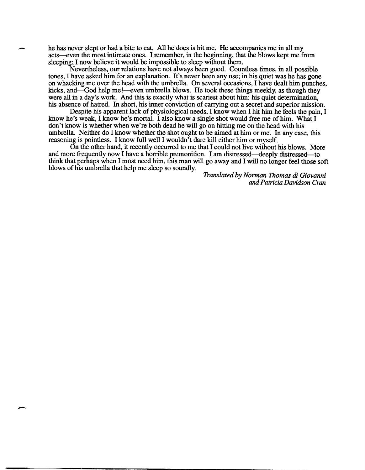he has never slept or had a bite to eat. All he does is hit me. He accompanies me in all my acts--even the most intimate ones. I remember, in the beginning, that the blows kept me from sleeping; I now believe it would be impossible to sleep without them.

Nevertheless, our relations have not always been good. Countless times, in all possible tones, I have asked him for an explanation. It's never been any use; in his quiet was he has gone on whacking me over the head with the umbrella. On several occasions, I have dealt him punches, kicks, and—God help me!—even umbrella blows. He took these things meekly, as though they were all in a day's work. And this is exactly what is scariest about him: his quiet determination, his absence of hatred. In short, his inner conviction of carrying out a secret and superior mission.

Despite his apparent lack of physiological needs, I know when I hit him he feels the pain, I know he's weak, I know he's mortal. I also know a single shot would free me of him. What I don't know is whether when we're both dead he will go on hitting me on the head with his umbrella. Neither do I know whether the shot ought to be aimed at him or me. In any case, this reasoning is pointless. I know full well I wouldn't dare kill either him or myself.

On the other hand, it recently occurred to me that I could not live without his blows. More and more frequently now I have a horrible premonition. I am distressed—deeply distressed—to think that perhaps when I most need him, this man will go away and I will no longer feel those soft blows of his umbrella that help me sleep so soundly.

-

*Translated by Norman Thomas* di *Giovanni*  and *Patricia Davidson Cran*